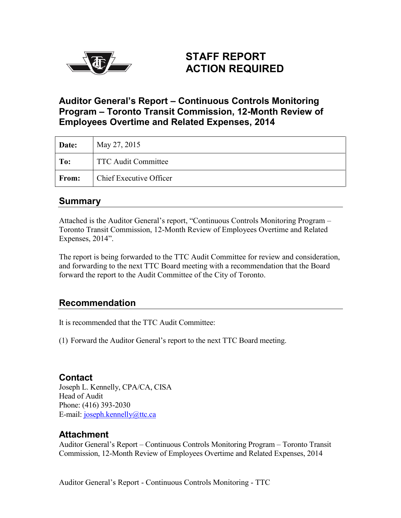

# **STAFF REPORT ACTION REQUIRED**

## **Auditor General's Report – Continuous Controls Monitoring Program – Toronto Transit Commission, 12-Month Review of Employees Overtime and Related Expenses, 2014**

| Date:        | May 27, 2015                   |
|--------------|--------------------------------|
| To:          | <b>TTC Audit Committee</b>     |
| <b>From:</b> | <b>Chief Executive Officer</b> |

### **Summary**

Attached is the Auditor General's report, "Continuous Controls Monitoring Program – Toronto Transit Commission, 12-Month Review of Employees Overtime and Related Expenses, 2014".

The report is being forwarded to the TTC Audit Committee for review and consideration, and forwarding to the next TTC Board meeting with a recommendation that the Board forward the report to the Audit Committee of the City of Toronto.

## **Recommendation**

It is recommended that the TTC Audit Committee:

(1) Forward the Auditor General's report to the next TTC Board meeting.

#### **Contact**

Joseph L. Kennelly, CPA/CA, CISA Head of Audit Phone: (416) 393-2030 E-mail: [joseph.kennelly@ttc.ca](mailto:joseph.kennelly@ttc.ca)

#### **Attachment**

Auditor General's Report – Continuous Controls Monitoring Program – Toronto Transit Commission, 12-Month Review of Employees Overtime and Related Expenses, 2014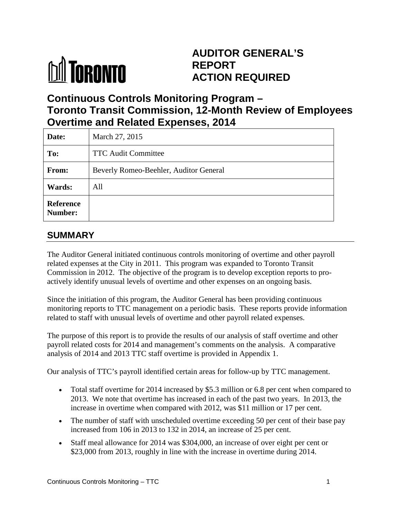# **MI TORONTO**

# **AUDITOR GENERAL'S REPORT ACTION REQUIRED**

# **Continuous Controls Monitoring Program – Toronto Transit Commission, 12-Month Review of Employees Overtime and Related Expenses, 2014**

| Date:                       | March 27, 2015                         |  |  |  |  |
|-----------------------------|----------------------------------------|--|--|--|--|
| To:                         | <b>TTC Audit Committee</b>             |  |  |  |  |
| From:                       | Beverly Romeo-Beehler, Auditor General |  |  |  |  |
| Wards:                      | All                                    |  |  |  |  |
| <b>Reference</b><br>Number: |                                        |  |  |  |  |

# **SUMMARY**

The Auditor General initiated continuous controls monitoring of overtime and other payroll related expenses at the City in 2011. This program was expanded to Toronto Transit Commission in 2012. The objective of the program is to develop exception reports to proactively identify unusual levels of overtime and other expenses on an ongoing basis.

Since the initiation of this program, the Auditor General has been providing continuous monitoring reports to TTC management on a periodic basis. These reports provide information related to staff with unusual levels of overtime and other payroll related expenses.

The purpose of this report is to provide the results of our analysis of staff overtime and other payroll related costs for 2014 and management's comments on the analysis. A comparative analysis of 2014 and 2013 TTC staff overtime is provided in Appendix 1.

Our analysis of TTC's payroll identified certain areas for follow-up by TTC management.

- Total staff overtime for 2014 increased by \$5.3 million or 6.8 per cent when compared to 2013. We note that overtime has increased in each of the past two years. In 2013, the increase in overtime when compared with 2012, was \$11 million or 17 per cent.
- The number of staff with unscheduled overtime exceeding 50 per cent of their base pay increased from 106 in 2013 to 132 in 2014, an increase of 25 per cent.
- Staff meal allowance for 2014 was \$304,000, an increase of over eight per cent or \$23,000 from 2013, roughly in line with the increase in overtime during 2014.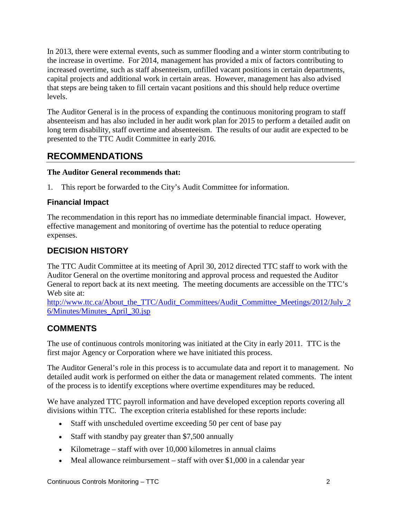In 2013, there were external events, such as summer flooding and a winter storm contributing to the increase in overtime. For 2014, management has provided a mix of factors contributing to increased overtime, such as staff absenteeism, unfilled vacant positions in certain departments, capital projects and additional work in certain areas. However, management has also advised that steps are being taken to fill certain vacant positions and this should help reduce overtime levels.

The Auditor General is in the process of expanding the continuous monitoring program to staff absenteeism and has also included in her audit work plan for 2015 to perform a detailed audit on long term disability, staff overtime and absenteeism. The results of our audit are expected to be presented to the TTC Audit Committee in early 2016.

# **RECOMMENDATIONS**

#### **The Auditor General recommends that:**

1. This report be forwarded to the City's Audit Committee for information.

#### **Financial Impact**

The recommendation in this report has no immediate determinable financial impact. However, effective management and monitoring of overtime has the potential to reduce operating expenses.

## **DECISION HISTORY**

The TTC Audit Committee at its meeting of April 30, 2012 directed TTC staff to work with the Auditor General on the overtime monitoring and approval process and requested the Auditor General to report back at its next meeting. The meeting documents are accessible on the TTC's Web site at:

[http://www.ttc.ca/About\\_the\\_TTC/Audit\\_Committees/Audit\\_Committee\\_Meetings/2012/July\\_2](http://www.ttc.ca/About_the_TTC/Audit_Committees/Audit_Committee_Meetings/2012/July_26/Minutes/Minutes_April_30.jsp) [6/Minutes/Minutes\\_April\\_30.jsp](http://www.ttc.ca/About_the_TTC/Audit_Committees/Audit_Committee_Meetings/2012/July_26/Minutes/Minutes_April_30.jsp)

## **COMMENTS**

The use of continuous controls monitoring was initiated at the City in early 2011. TTC is the first major Agency or Corporation where we have initiated this process.

The Auditor General's role in this process is to accumulate data and report it to management. No detailed audit work is performed on either the data or management related comments. The intent of the process is to identify exceptions where overtime expenditures may be reduced.

We have analyzed TTC payroll information and have developed exception reports covering all divisions within TTC. The exception criteria established for these reports include:

- Staff with unscheduled overtime exceeding 50 per cent of base pay
- Staff with standby pay greater than \$7,500 annually
- Kilometrage staff with over 10,000 kilometres in annual claims
- Meal allowance reimbursement staff with over \$1,000 in a calendar year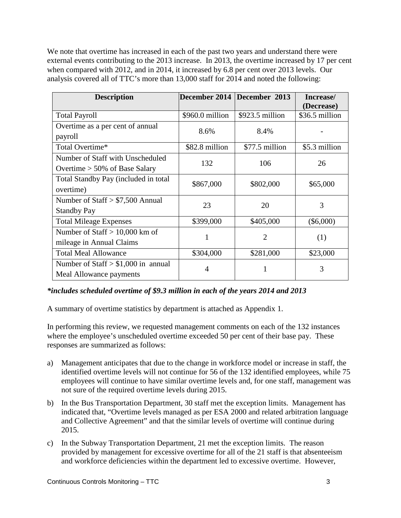We note that overtime has increased in each of the past two years and understand there were external events contributing to the 2013 increase. In 2013, the overtime increased by 17 per cent when compared with 2012, and in 2014, it increased by 6.8 per cent over 2013 levels. Our analysis covered all of TTC's more than 13,000 staff for 2014 and noted the following:

| <b>Description</b>                                                   | December 2014   | December 2013    | Increase/<br>(Decrease) |  |
|----------------------------------------------------------------------|-----------------|------------------|-------------------------|--|
| <b>Total Payroll</b>                                                 | \$960.0 million | $$923.5$ million | \$36.5 million          |  |
| Overtime as a per cent of annual<br>payroll                          | 8.6%            | 8.4%             |                         |  |
| Total Overtime*                                                      | \$82.8 million  | \$77.5 million   | \$5.3 million           |  |
| Number of Staff with Unscheduled<br>Overtime $> 50\%$ of Base Salary | 132             | 106              | 26                      |  |
| Total Standby Pay (included in total<br>overtime)                    | \$867,000       | \$802,000        | \$65,000                |  |
| Number of Staff $> $7,500$ Annual<br><b>Standby Pay</b>              | 23              | 20               | 3                       |  |
| <b>Total Mileage Expenses</b>                                        | \$399,000       | \$405,000        | $(\$6,000)$             |  |
| Number of Staff $> 10,000$ km of<br>mileage in Annual Claims         | 1               | 2                | (1)                     |  |
| <b>Total Meal Allowance</b>                                          | \$304,000       | \$281,000        | \$23,000                |  |
| Number of Staff $> $1,000$ in annual<br>Meal Allowance payments      | 4               |                  | 3                       |  |

#### *\*includes scheduled overtime of \$9.3 million in each of the years 2014 and 2013*

A summary of overtime statistics by department is attached as Appendix 1.

In performing this review, we requested management comments on each of the 132 instances where the employee's unscheduled overtime exceeded 50 per cent of their base pay. These responses are summarized as follows:

- a) Management anticipates that due to the change in workforce model or increase in staff, the identified overtime levels will not continue for 56 of the 132 identified employees, while 75 employees will continue to have similar overtime levels and, for one staff, management was not sure of the required overtime levels during 2015.
- b) In the Bus Transportation Department, 30 staff met the exception limits. Management has indicated that, "Overtime levels managed as per ESA 2000 and related arbitration language and Collective Agreement" and that the similar levels of overtime will continue during 2015.
- c) In the Subway Transportation Department, 21 met the exception limits. The reason provided by management for excessive overtime for all of the 21 staff is that absenteeism and workforce deficiencies within the department led to excessive overtime. However,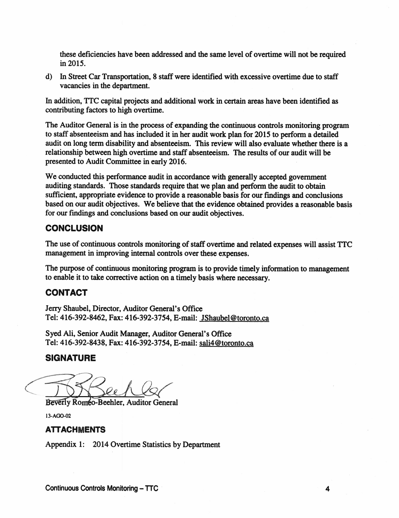these deficiencies have been addressed and the same level of overtime will not be required in2015.

d) In Street Car Transportation, 8 staff were identified with excessive overtime due to staff vacancies in the department.

In addition, TTC capital projects and additional work in certain areas have been identified as contributing factors to high overtime.

The Auditor General is in the process of expanding the continuous controls monitoring program to staff absenteeism and has included it in her audit work plan for 2015 to perform a detailed audit on long term disability and absenteeism. This review will also evaluate whether there is a relationship between high overtime and staff absenteeism. The results of our audit will be presented to Audit Committee in early 2016.

We conducted this performance audit in accordance with generally accepted government auditing standards. Those standards require that we plan and perform the audit to obtain sufficient, appropriate evidence to provide a reasonable basis for our fmdings and conclusions based on our audit objectives. We believe that the evidence obtained provides a reasonable basis for our findings and conclusions based on our audit objectives.

#### **CONCLUSION**

The use of continuous controls monitoring of staff overtime and related expenses will assist TTC management in improving internal controls over these expenses.

The purpose of continuous monitoring program is to provide timely information to management to enable it to take corrective action on a timely basis where necessary.

#### CONTACT

Jerry Shaubel, Director, Auditor General's Office Tel: 416-392-8462, Fax: 416-392-3754, E-mail: JShaubel@toronto.ca

Syed Ali, Senior Audit Manager, Auditor General's Office Tel: 416-392-8438, Fax: 416-392-3754, E-mail: sa1i4@toronto.ca

#### **SIGNATURE**

Beverly Romeo-Beehler, Auditor General

13-AGO-02

#### ATTACHMENTS

Appendix 1: 2014 Overtime Statistics by Department